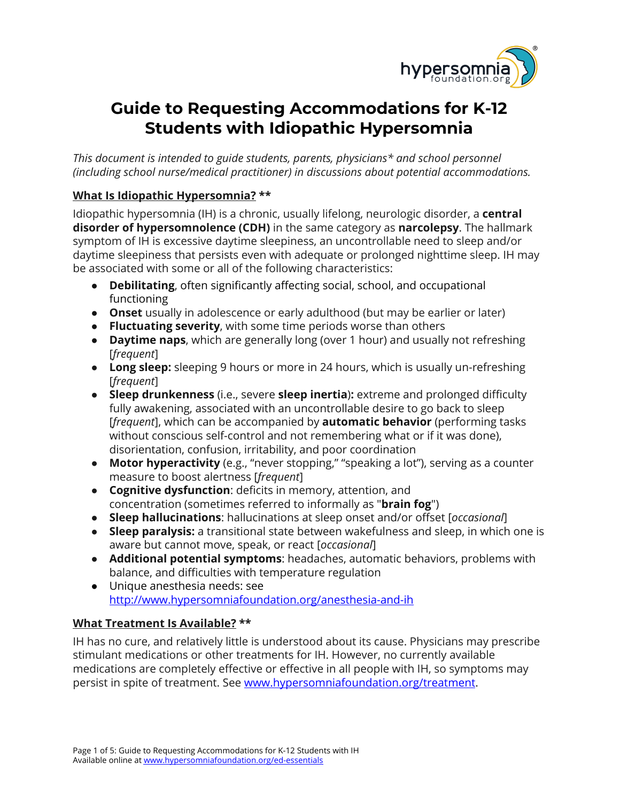

# **Guide to Requesting Accommodations for K-12 Students with Idiopathic Hypersomnia**

*This document is intended to guide students, parents, physicians\* and school personnel (including school nurse/medical practitioner) in discussions about potential accommodations.*

# **What Is Idiopathic Hypersomnia? \*\***

Idiopathic hypersomnia (IH) is a chronic, usually lifelong, neurologic disorder, a **central disorder of hypersomnolence (CDH)** in the same category as **narcolepsy**. The hallmark symptom of IH is excessive daytime sleepiness, an uncontrollable need to sleep and/or daytime sleepiness that persists even with adequate or prolonged nighttime sleep. IH may be associated with some or all of the following characteristics:

- **Debilitating**, often significantly affecting social, school, and occupational functioning
- **Onset** usually in adolescence or early adulthood (but may be earlier or later)
- **Fluctuating severity**, with some time periods worse than others
- **Daytime naps**, which are generally long (over 1 hour) and usually not refreshing [*frequent*]
- **Long sleep:** sleeping 9 hours or more in 24 hours, which is usually un-refreshing [*frequent*]
- **Sleep drunkenness** (i.e., severe **sleep inertia**)**:** extreme and prolonged difficulty fully awakening, associated with an uncontrollable desire to go back to sleep [*frequent*], which can be accompanied by **automatic behavior** (performing tasks without conscious self-control and not remembering what or if it was done), disorientation, confusion, irritability, and poor coordination
- **Motor hyperactivity** (e.g., "never stopping," "speaking a lot"), serving as a counter measure to boost alertness [*frequent*]
- **Cognitive dysfunction**: deficits in memory, attention, and concentration (sometimes referred to informally as "**brain fog**")
- **Sleep hallucinations**: hallucinations at sleep onset and/or offset [*occasional*]
- **● Sleep paralysis:** a transitional state between wakefulness and sleep, in which one is aware but cannot move, speak, or react [*occasional*]
- **● Additional potential symptoms**: headaches, automatic behaviors, problems with balance, and difficulties with temperature regulation
- Unique anesthesia needs: see <http://www.hypersomniafoundation.org/anesthesia-and-ih>

### **What Treatment Is Available? \*\***

IH has no cure, and relatively little is understood about its cause. Physicians may prescribe stimulant medications or other treatments for IH. However, no currently available medications are completely effective or effective in all people with IH, so symptoms may persist in spite of treatment. See [www.hypersomniafoundation.org/treatment.](http://www.hypersomniafoundation.org/treatment)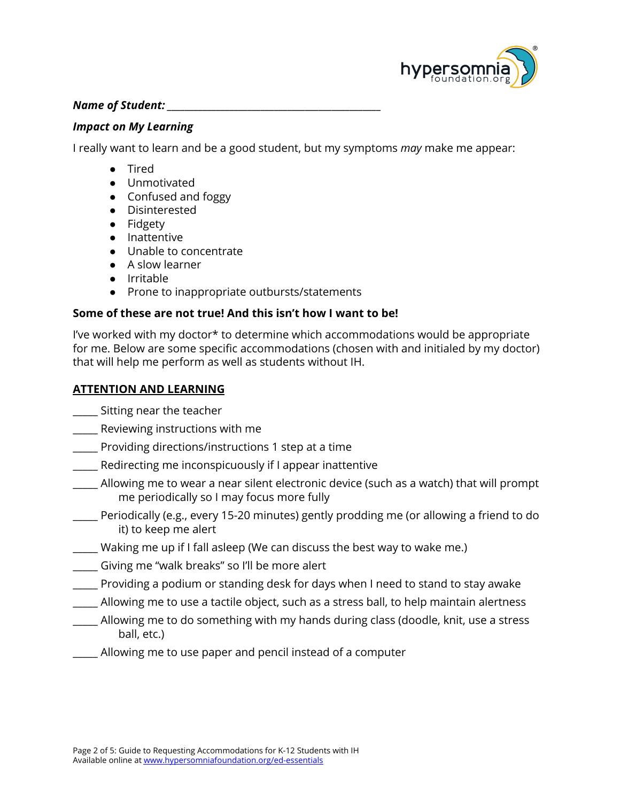

#### *Name of Student: \_\_\_\_\_\_\_\_\_\_\_\_\_\_\_\_\_\_\_\_\_\_\_\_\_\_\_\_\_\_\_\_\_\_\_\_\_\_\_\_\_\_\_\_\_\_\_\_*

#### *Impact on My Learning*

I really want to learn and be a good student, but my symptoms *may* make me appear:

- Tired
- Unmotivated
- Confused and foggy
- Disinterested
- Fidgety
- Inattentive
- Unable to concentrate
- A slow learner
- Irritable
- Prone to inappropriate outbursts/statements

### **Some of these are not true! And this isn't how I want to be!**

I've worked with my doctor\* to determine which accommodations would be appropriate for me. Below are some specific accommodations (chosen with and initialed by my doctor) that will help me perform as well as students without IH.

# **ATTENTION AND LEARNING**

\_\_\_\_\_ Sitting near the teacher

\_\_\_\_\_ Reviewing instructions with me

- \_\_\_\_\_ Providing directions/instructions 1 step at a time
- \_\_\_\_\_ Redirecting me inconspicuously if I appear inattentive
- \_\_\_\_\_ Allowing me to wear a near silent electronic device (such as a watch) that will prompt me periodically so I may focus more fully
- \_\_\_\_\_ Periodically (e.g., every 15-20 minutes) gently prodding me (or allowing a friend to do it) to keep me alert
- \_\_\_\_\_ Waking me up if I fall asleep (We can discuss the best way to wake me.)
- \_\_\_\_\_ Giving me "walk breaks" so I'll be more alert
- \_\_\_\_\_ Providing a podium or standing desk for days when I need to stand to stay awake
- \_\_\_\_\_ Allowing me to use a tactile object, such as a stress ball, to help maintain alertness
- \_\_\_\_\_ Allowing me to do something with my hands during class (doodle, knit, use a stress ball, etc.)
- \_\_\_\_\_ Allowing me to use paper and pencil instead of a computer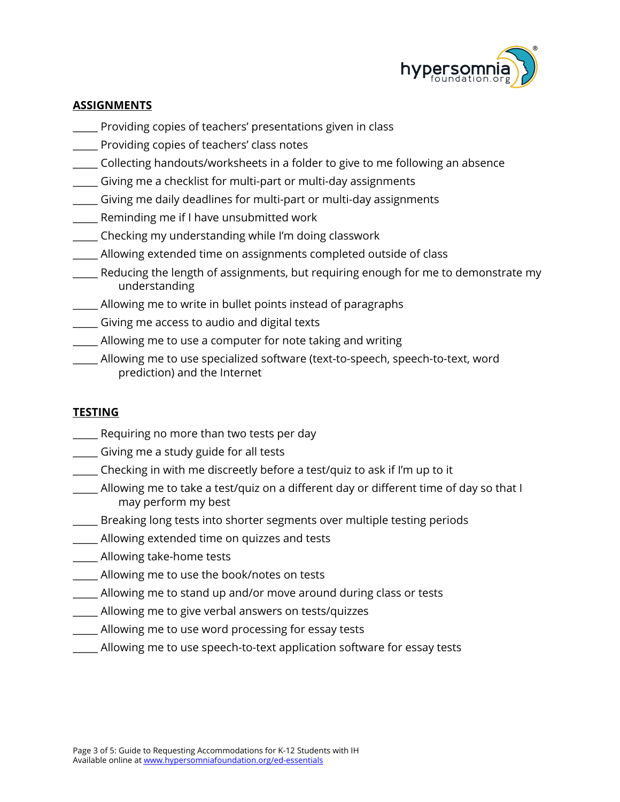

# **ASSIGNMENTS**

- \_\_\_\_\_ Providing copies of teachers' presentations given in class
- \_\_\_\_\_ Providing copies of teachers' class notes
- \_\_\_\_\_ Collecting handouts/worksheets in a folder to give to me following an absence
- \_\_\_\_\_ Giving me a checklist for multi-part or multi-day assignments
- \_\_\_\_\_ Giving me daily deadlines for multi-part or multi-day assignments
- \_\_\_\_\_ Reminding me if I have unsubmitted work
- \_\_\_\_\_ Checking my understanding while I'm doing classwork
- \_\_\_\_\_ Allowing extended time on assignments completed outside of class
- \_\_\_\_\_ Reducing the length of assignments, but requiring enough for me to demonstrate my understanding
- \_\_\_\_\_ Allowing me to write in bullet points instead of paragraphs
- \_\_\_\_\_ Giving me access to audio and digital texts
- \_\_\_\_\_ Allowing me to use a computer for note taking and writing
- \_\_\_\_\_ Allowing me to use specialized software (text-to-speech, speech-to-text, word prediction) and the Internet

### **TESTING**

- \_\_\_\_\_ Requiring no more than two tests per day
- \_\_\_\_\_ Giving me a study guide for all tests
- \_\_\_\_\_ Checking in with me discreetly before a test/quiz to ask if I'm up to it
- \_\_\_\_\_ Allowing me to take a test/quiz on a different day or different time of day so that I may perform my best
- \_\_\_\_\_ Breaking long tests into shorter segments over multiple testing periods
- **\_\_\_\_** Allowing extended time on quizzes and tests
- \_\_\_\_\_ Allowing take-home tests
- \_\_\_\_\_ Allowing me to use the book/notes on tests
- \_\_\_\_\_ Allowing me to stand up and/or move around during class or tests
- \_\_\_\_\_ Allowing me to give verbal answers on tests/quizzes
- \_\_\_\_\_ Allowing me to use word processing for essay tests
- \_\_\_\_\_ Allowing me to use speech-to-text application software for essay tests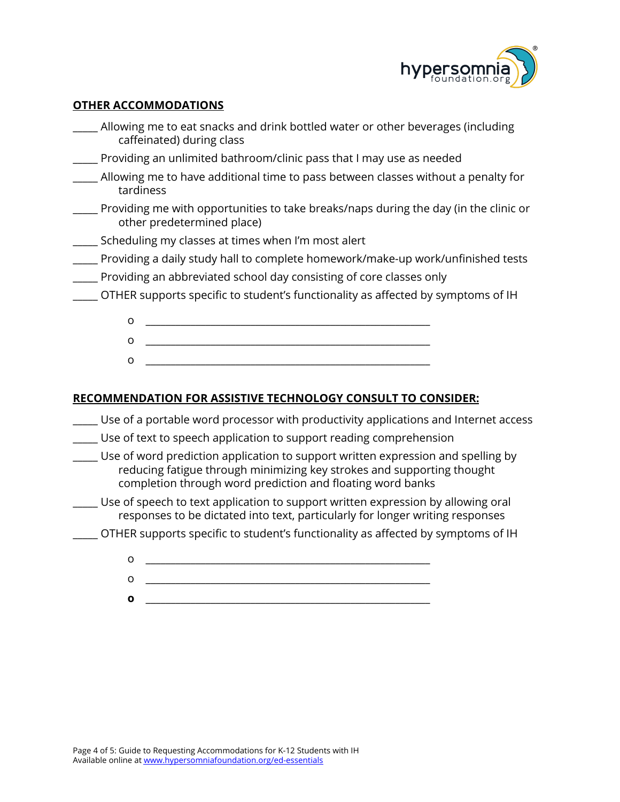

#### **OTHER ACCOMMODATIONS**

| Allowing me to eat snacks and drink bottled water or other beverages (including<br>caffeinated) during class                                                                                                               |
|----------------------------------------------------------------------------------------------------------------------------------------------------------------------------------------------------------------------------|
| Providing an unlimited bathroom/clinic pass that I may use as needed                                                                                                                                                       |
| Allowing me to have additional time to pass between classes without a penalty for<br>tardiness                                                                                                                             |
| __ Providing me with opportunities to take breaks/naps during the day (in the clinic or<br>other predetermined place)                                                                                                      |
| Scheduling my classes at times when I'm most alert                                                                                                                                                                         |
| Providing a daily study hall to complete homework/make-up work/unfinished tests                                                                                                                                            |
| Providing an abbreviated school day consisting of core classes only                                                                                                                                                        |
| $\_\_\_\$ OTHER supports specific to student's functionality as affected by symptoms of IH                                                                                                                                 |
| O                                                                                                                                                                                                                          |
| o                                                                                                                                                                                                                          |
| $\circ$                                                                                                                                                                                                                    |
|                                                                                                                                                                                                                            |
| <b>RECOMMENDATION FOR ASSISTIVE TECHNOLOGY CONSULT TO CONSIDER:</b>                                                                                                                                                        |
| Use of a portable word processor with productivity applications and Internet access                                                                                                                                        |
| Use of text to speech application to support reading comprehension                                                                                                                                                         |
| . Use of word prediction application to support written expression and spelling by<br>reducing fatigue through minimizing key strokes and supporting thought<br>completion through word prediction and floating word banks |

- \_\_\_\_\_ Use of speech to text application to support written expression by allowing oral responses to be dictated into text, particularly for longer writing responses
- \_\_\_\_\_ OTHER supports specific to student's functionality as affected by symptoms of IH
	- o \_\_\_\_\_\_\_\_\_\_\_\_\_\_\_\_\_\_\_\_\_\_\_\_\_\_\_\_\_\_\_\_\_\_\_\_\_\_\_\_\_\_\_\_\_\_\_\_\_\_\_\_\_\_\_\_\_ o \_\_\_\_\_\_\_\_\_\_\_\_\_\_\_\_\_\_\_\_\_\_\_\_\_\_\_\_\_\_\_\_\_\_\_\_\_\_\_\_\_\_\_\_\_\_\_\_\_\_\_\_\_\_\_\_\_
	- **o** \_\_\_\_\_\_\_\_\_\_\_\_\_\_\_\_\_\_\_\_\_\_\_\_\_\_\_\_\_\_\_\_\_\_\_\_\_\_\_\_\_\_\_\_\_\_\_\_\_\_\_\_\_\_\_\_\_